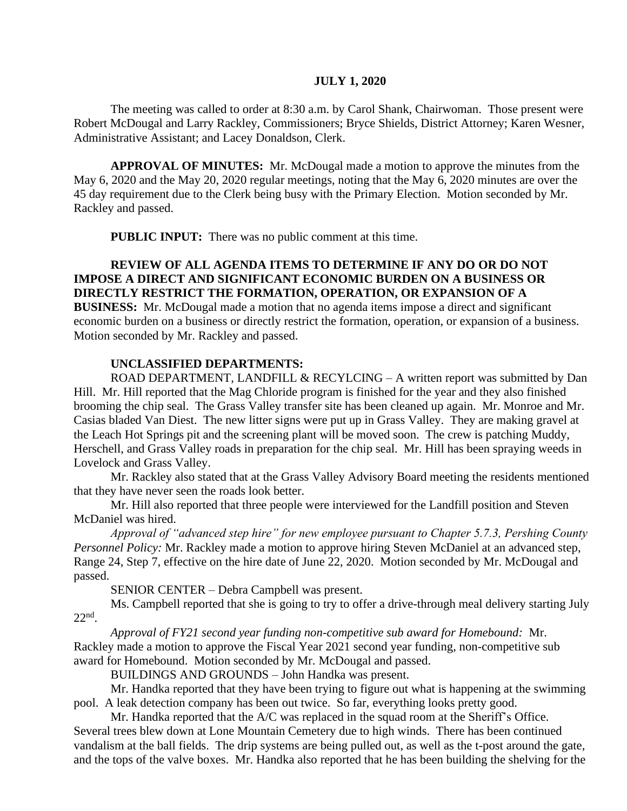### **JULY 1, 2020**

The meeting was called to order at 8:30 a.m. by Carol Shank, Chairwoman. Those present were Robert McDougal and Larry Rackley, Commissioners; Bryce Shields, District Attorney; Karen Wesner, Administrative Assistant; and Lacey Donaldson, Clerk.

**APPROVAL OF MINUTES:** Mr. McDougal made a motion to approve the minutes from the May 6, 2020 and the May 20, 2020 regular meetings, noting that the May 6, 2020 minutes are over the 45 day requirement due to the Clerk being busy with the Primary Election. Motion seconded by Mr. Rackley and passed.

**PUBLIC INPUT:** There was no public comment at this time.

# **REVIEW OF ALL AGENDA ITEMS TO DETERMINE IF ANY DO OR DO NOT IMPOSE A DIRECT AND SIGNIFICANT ECONOMIC BURDEN ON A BUSINESS OR DIRECTLY RESTRICT THE FORMATION, OPERATION, OR EXPANSION OF A BUSINESS:** Mr. McDougal made a motion that no agenda items impose a direct and significant economic burden on a business or directly restrict the formation, operation, or expansion of a business. Motion seconded by Mr. Rackley and passed.

#### **UNCLASSIFIED DEPARTMENTS:**

ROAD DEPARTMENT, LANDFILL & RECYLCING – A written report was submitted by Dan Hill. Mr. Hill reported that the Mag Chloride program is finished for the year and they also finished brooming the chip seal. The Grass Valley transfer site has been cleaned up again. Mr. Monroe and Mr. Casias bladed Van Diest. The new litter signs were put up in Grass Valley. They are making gravel at the Leach Hot Springs pit and the screening plant will be moved soon. The crew is patching Muddy, Herschell, and Grass Valley roads in preparation for the chip seal. Mr. Hill has been spraying weeds in Lovelock and Grass Valley.

Mr. Rackley also stated that at the Grass Valley Advisory Board meeting the residents mentioned that they have never seen the roads look better.

Mr. Hill also reported that three people were interviewed for the Landfill position and Steven McDaniel was hired.

*Approval of "advanced step hire" for new employee pursuant to Chapter 5.7.3, Pershing County Personnel Policy:* Mr. Rackley made a motion to approve hiring Steven McDaniel at an advanced step, Range 24, Step 7, effective on the hire date of June 22, 2020. Motion seconded by Mr. McDougal and passed.

SENIOR CENTER – Debra Campbell was present.

Ms. Campbell reported that she is going to try to offer a drive-through meal delivery starting July 22nd .

*Approval of FY21 second year funding non-competitive sub award for Homebound:* Mr. Rackley made a motion to approve the Fiscal Year 2021 second year funding, non-competitive sub award for Homebound. Motion seconded by Mr. McDougal and passed.

BUILDINGS AND GROUNDS – John Handka was present.

Mr. Handka reported that they have been trying to figure out what is happening at the swimming pool. A leak detection company has been out twice. So far, everything looks pretty good.

Mr. Handka reported that the A/C was replaced in the squad room at the Sheriff's Office. Several trees blew down at Lone Mountain Cemetery due to high winds. There has been continued vandalism at the ball fields. The drip systems are being pulled out, as well as the t-post around the gate, and the tops of the valve boxes. Mr. Handka also reported that he has been building the shelving for the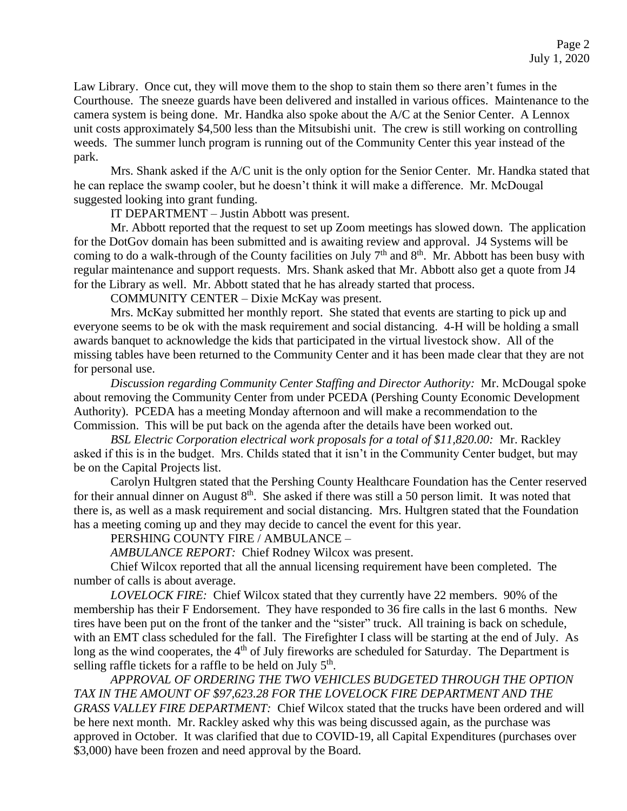Law Library. Once cut, they will move them to the shop to stain them so there aren't fumes in the Courthouse. The sneeze guards have been delivered and installed in various offices. Maintenance to the camera system is being done. Mr. Handka also spoke about the A/C at the Senior Center. A Lennox unit costs approximately \$4,500 less than the Mitsubishi unit. The crew is still working on controlling weeds. The summer lunch program is running out of the Community Center this year instead of the park.

Mrs. Shank asked if the A/C unit is the only option for the Senior Center. Mr. Handka stated that he can replace the swamp cooler, but he doesn't think it will make a difference. Mr. McDougal suggested looking into grant funding.

IT DEPARTMENT – Justin Abbott was present.

Mr. Abbott reported that the request to set up Zoom meetings has slowed down. The application for the DotGov domain has been submitted and is awaiting review and approval. J4 Systems will be coming to do a walk-through of the County facilities on July  $7<sup>th</sup>$  and  $8<sup>th</sup>$ . Mr. Abbott has been busy with regular maintenance and support requests. Mrs. Shank asked that Mr. Abbott also get a quote from J4 for the Library as well. Mr. Abbott stated that he has already started that process.

COMMUNITY CENTER – Dixie McKay was present.

Mrs. McKay submitted her monthly report. She stated that events are starting to pick up and everyone seems to be ok with the mask requirement and social distancing. 4-H will be holding a small awards banquet to acknowledge the kids that participated in the virtual livestock show. All of the missing tables have been returned to the Community Center and it has been made clear that they are not for personal use.

*Discussion regarding Community Center Staffing and Director Authority:* Mr. McDougal spoke about removing the Community Center from under PCEDA (Pershing County Economic Development Authority). PCEDA has a meeting Monday afternoon and will make a recommendation to the Commission. This will be put back on the agenda after the details have been worked out.

*BSL Electric Corporation electrical work proposals for a total of \$11,820.00:* Mr. Rackley asked if this is in the budget. Mrs. Childs stated that it isn't in the Community Center budget, but may be on the Capital Projects list.

Carolyn Hultgren stated that the Pershing County Healthcare Foundation has the Center reserved for their annual dinner on August  $8<sup>th</sup>$ . She asked if there was still a 50 person limit. It was noted that there is, as well as a mask requirement and social distancing. Mrs. Hultgren stated that the Foundation has a meeting coming up and they may decide to cancel the event for this year.

PERSHING COUNTY FIRE / AMBULANCE –

*AMBULANCE REPORT:* Chief Rodney Wilcox was present.

Chief Wilcox reported that all the annual licensing requirement have been completed. The number of calls is about average.

*LOVELOCK FIRE:* Chief Wilcox stated that they currently have 22 members. 90% of the membership has their F Endorsement. They have responded to 36 fire calls in the last 6 months. New tires have been put on the front of the tanker and the "sister" truck. All training is back on schedule, with an EMT class scheduled for the fall. The Firefighter I class will be starting at the end of July. As long as the wind cooperates, the 4<sup>th</sup> of July fireworks are scheduled for Saturday. The Department is selling raffle tickets for a raffle to be held on July  $5<sup>th</sup>$ .

 *APPROVAL OF ORDERING THE TWO VEHICLES BUDGETED THROUGH THE OPTION TAX IN THE AMOUNT OF \$97,623.28 FOR THE LOVELOCK FIRE DEPARTMENT AND THE GRASS VALLEY FIRE DEPARTMENT:* Chief Wilcox stated that the trucks have been ordered and will be here next month. Mr. Rackley asked why this was being discussed again, as the purchase was approved in October. It was clarified that due to COVID-19, all Capital Expenditures (purchases over \$3,000) have been frozen and need approval by the Board.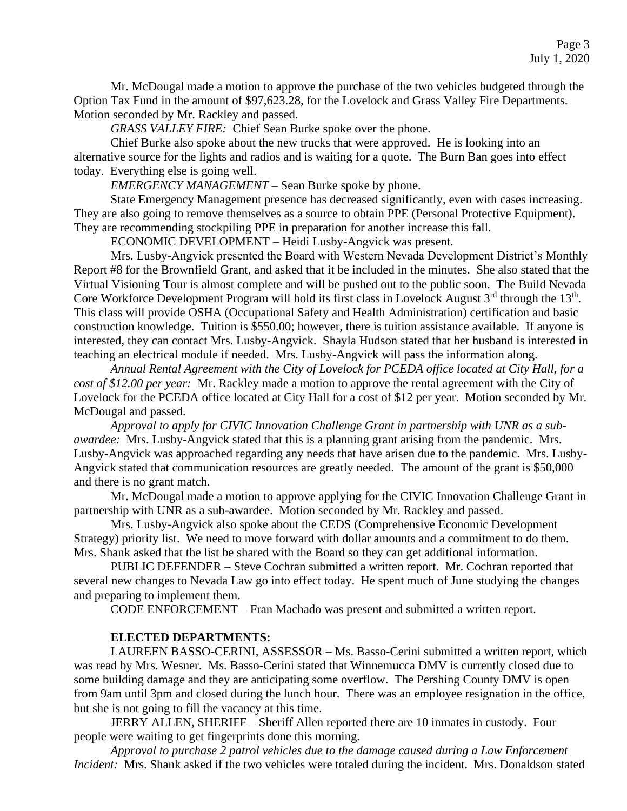Mr. McDougal made a motion to approve the purchase of the two vehicles budgeted through the Option Tax Fund in the amount of \$97,623.28, for the Lovelock and Grass Valley Fire Departments. Motion seconded by Mr. Rackley and passed.

*GRASS VALLEY FIRE:* Chief Sean Burke spoke over the phone.

Chief Burke also spoke about the new trucks that were approved. He is looking into an alternative source for the lights and radios and is waiting for a quote. The Burn Ban goes into effect today. Everything else is going well.

*EMERGENCY MANAGEMENT –* Sean Burke spoke by phone.

State Emergency Management presence has decreased significantly, even with cases increasing. They are also going to remove themselves as a source to obtain PPE (Personal Protective Equipment). They are recommending stockpiling PPE in preparation for another increase this fall.

ECONOMIC DEVELOPMENT – Heidi Lusby-Angvick was present.

Mrs. Lusby-Angvick presented the Board with Western Nevada Development District's Monthly Report #8 for the Brownfield Grant, and asked that it be included in the minutes. She also stated that the Virtual Visioning Tour is almost complete and will be pushed out to the public soon. The Build Nevada Core Workforce Development Program will hold its first class in Lovelock August  $3<sup>rd</sup>$  through the  $13<sup>th</sup>$ . This class will provide OSHA (Occupational Safety and Health Administration) certification and basic construction knowledge. Tuition is \$550.00; however, there is tuition assistance available. If anyone is interested, they can contact Mrs. Lusby-Angvick. Shayla Hudson stated that her husband is interested in teaching an electrical module if needed. Mrs. Lusby-Angvick will pass the information along.

*Annual Rental Agreement with the City of Lovelock for PCEDA office located at City Hall, for a cost of \$12.00 per year:* Mr. Rackley made a motion to approve the rental agreement with the City of Lovelock for the PCEDA office located at City Hall for a cost of \$12 per year. Motion seconded by Mr. McDougal and passed.

*Approval to apply for CIVIC Innovation Challenge Grant in partnership with UNR as a subawardee:* Mrs. Lusby-Angvick stated that this is a planning grant arising from the pandemic. Mrs. Lusby-Angvick was approached regarding any needs that have arisen due to the pandemic. Mrs. Lusby-Angvick stated that communication resources are greatly needed. The amount of the grant is \$50,000 and there is no grant match.

Mr. McDougal made a motion to approve applying for the CIVIC Innovation Challenge Grant in partnership with UNR as a sub-awardee. Motion seconded by Mr. Rackley and passed.

Mrs. Lusby-Angvick also spoke about the CEDS (Comprehensive Economic Development Strategy) priority list. We need to move forward with dollar amounts and a commitment to do them. Mrs. Shank asked that the list be shared with the Board so they can get additional information.

PUBLIC DEFENDER – Steve Cochran submitted a written report. Mr. Cochran reported that several new changes to Nevada Law go into effect today. He spent much of June studying the changes and preparing to implement them.

CODE ENFORCEMENT – Fran Machado was present and submitted a written report.

### **ELECTED DEPARTMENTS:**

LAUREEN BASSO-CERINI, ASSESSOR – Ms. Basso-Cerini submitted a written report, which was read by Mrs. Wesner. Ms. Basso-Cerini stated that Winnemucca DMV is currently closed due to some building damage and they are anticipating some overflow. The Pershing County DMV is open from 9am until 3pm and closed during the lunch hour. There was an employee resignation in the office, but she is not going to fill the vacancy at this time.

JERRY ALLEN, SHERIFF – Sheriff Allen reported there are 10 inmates in custody. Four people were waiting to get fingerprints done this morning.

*Approval to purchase 2 patrol vehicles due to the damage caused during a Law Enforcement Incident:* Mrs. Shank asked if the two vehicles were totaled during the incident. Mrs. Donaldson stated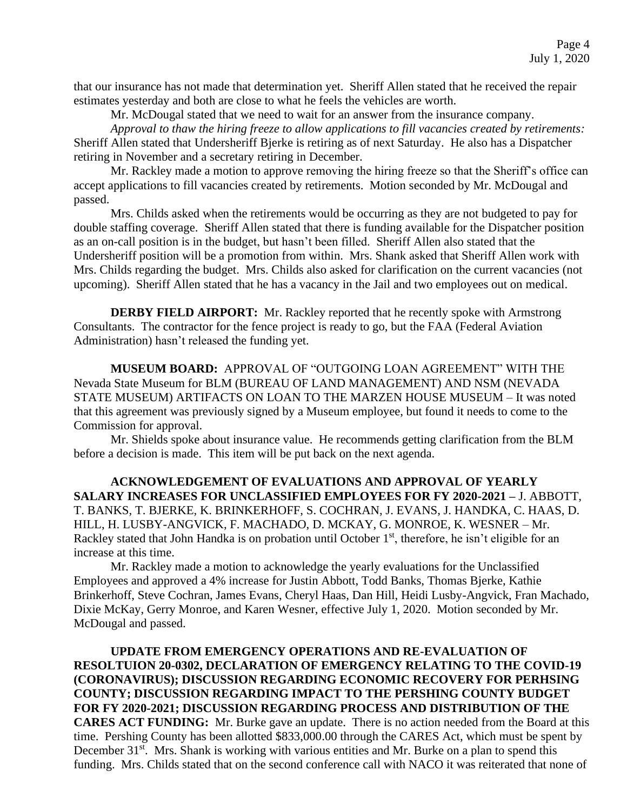that our insurance has not made that determination yet. Sheriff Allen stated that he received the repair estimates yesterday and both are close to what he feels the vehicles are worth.

Mr. McDougal stated that we need to wait for an answer from the insurance company.

*Approval to thaw the hiring freeze to allow applications to fill vacancies created by retirements:*  Sheriff Allen stated that Undersheriff Bjerke is retiring as of next Saturday. He also has a Dispatcher retiring in November and a secretary retiring in December.

Mr. Rackley made a motion to approve removing the hiring freeze so that the Sheriff's office can accept applications to fill vacancies created by retirements. Motion seconded by Mr. McDougal and passed.

Mrs. Childs asked when the retirements would be occurring as they are not budgeted to pay for double staffing coverage. Sheriff Allen stated that there is funding available for the Dispatcher position as an on-call position is in the budget, but hasn't been filled. Sheriff Allen also stated that the Undersheriff position will be a promotion from within. Mrs. Shank asked that Sheriff Allen work with Mrs. Childs regarding the budget. Mrs. Childs also asked for clarification on the current vacancies (not upcoming). Sheriff Allen stated that he has a vacancy in the Jail and two employees out on medical.

**DERBY FIELD AIRPORT:** Mr. Rackley reported that he recently spoke with Armstrong Consultants. The contractor for the fence project is ready to go, but the FAA (Federal Aviation Administration) hasn't released the funding yet.

**MUSEUM BOARD:** APPROVAL OF "OUTGOING LOAN AGREEMENT" WITH THE Nevada State Museum for BLM (BUREAU OF LAND MANAGEMENT) AND NSM (NEVADA STATE MUSEUM) ARTIFACTS ON LOAN TO THE MARZEN HOUSE MUSEUM – It was noted that this agreement was previously signed by a Museum employee, but found it needs to come to the Commission for approval.

Mr. Shields spoke about insurance value. He recommends getting clarification from the BLM before a decision is made. This item will be put back on the next agenda.

**ACKNOWLEDGEMENT OF EVALUATIONS AND APPROVAL OF YEARLY SALARY INCREASES FOR UNCLASSIFIED EMPLOYEES FOR FY 2020-2021 –** J. ABBOTT, T. BANKS, T. BJERKE, K. BRINKERHOFF, S. COCHRAN, J. EVANS, J. HANDKA, C. HAAS, D. HILL, H. LUSBY-ANGVICK, F. MACHADO, D. MCKAY, G. MONROE, K. WESNER – Mr. Rackley stated that John Handka is on probation until October 1<sup>st</sup>, therefore, he isn't eligible for an increase at this time.

Mr. Rackley made a motion to acknowledge the yearly evaluations for the Unclassified Employees and approved a 4% increase for Justin Abbott, Todd Banks, Thomas Bjerke, Kathie Brinkerhoff, Steve Cochran, James Evans, Cheryl Haas, Dan Hill, Heidi Lusby-Angvick, Fran Machado, Dixie McKay, Gerry Monroe, and Karen Wesner, effective July 1, 2020. Motion seconded by Mr. McDougal and passed.

**UPDATE FROM EMERGENCY OPERATIONS AND RE-EVALUATION OF RESOLTUION 20-0302, DECLARATION OF EMERGENCY RELATING TO THE COVID-19 (CORONAVIRUS); DISCUSSION REGARDING ECONOMIC RECOVERY FOR PERHSING COUNTY; DISCUSSION REGARDING IMPACT TO THE PERSHING COUNTY BUDGET FOR FY 2020-2021; DISCUSSION REGARDING PROCESS AND DISTRIBUTION OF THE CARES ACT FUNDING:** Mr. Burke gave an update. There is no action needed from the Board at this time. Pershing County has been allotted \$833,000.00 through the CARES Act, which must be spent by December 31<sup>st</sup>. Mrs. Shank is working with various entities and Mr. Burke on a plan to spend this funding. Mrs. Childs stated that on the second conference call with NACO it was reiterated that none of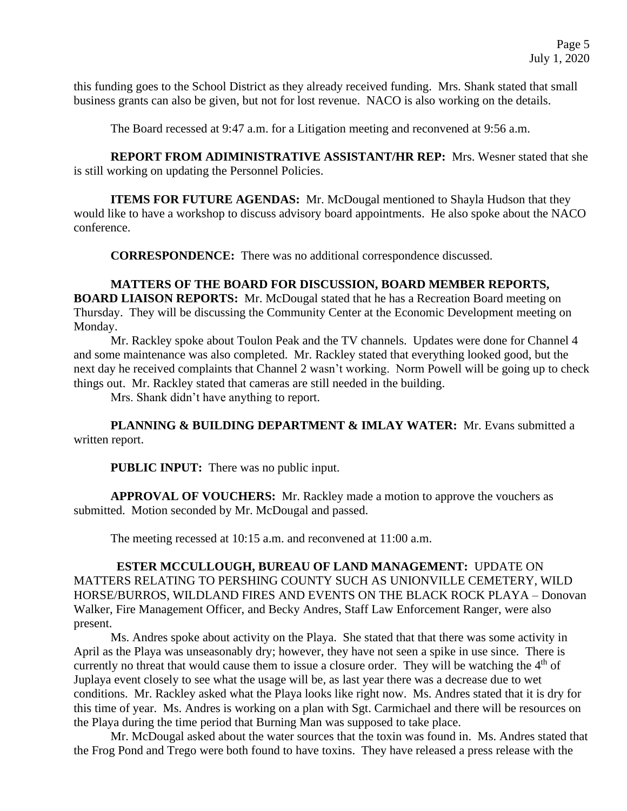this funding goes to the School District as they already received funding. Mrs. Shank stated that small business grants can also be given, but not for lost revenue. NACO is also working on the details.

The Board recessed at 9:47 a.m. for a Litigation meeting and reconvened at 9:56 a.m.

**REPORT FROM ADIMINISTRATIVE ASSISTANT/HR REP:** Mrs. Wesner stated that she is still working on updating the Personnel Policies.

**ITEMS FOR FUTURE AGENDAS:** Mr. McDougal mentioned to Shayla Hudson that they would like to have a workshop to discuss advisory board appointments. He also spoke about the NACO conference.

**CORRESPONDENCE:** There was no additional correspondence discussed.

## **MATTERS OF THE BOARD FOR DISCUSSION, BOARD MEMBER REPORTS, BOARD LIAISON REPORTS:** Mr. McDougal stated that he has a Recreation Board meeting on Thursday. They will be discussing the Community Center at the Economic Development meeting on Monday.

Mr. Rackley spoke about Toulon Peak and the TV channels. Updates were done for Channel 4 and some maintenance was also completed. Mr. Rackley stated that everything looked good, but the next day he received complaints that Channel 2 wasn't working. Norm Powell will be going up to check things out. Mr. Rackley stated that cameras are still needed in the building.

Mrs. Shank didn't have anything to report.

**PLANNING & BUILDING DEPARTMENT & IMLAY WATER:** Mr. Evans submitted a written report.

**PUBLIC INPUT:** There was no public input.

**APPROVAL OF VOUCHERS:** Mr. Rackley made a motion to approve the vouchers as submitted. Motion seconded by Mr. McDougal and passed.

The meeting recessed at 10:15 a.m. and reconvened at 11:00 a.m.

 **ESTER MCCULLOUGH, BUREAU OF LAND MANAGEMENT:** UPDATE ON MATTERS RELATING TO PERSHING COUNTY SUCH AS UNIONVILLE CEMETERY, WILD HORSE/BURROS, WILDLAND FIRES AND EVENTS ON THE BLACK ROCK PLAYA – Donovan Walker, Fire Management Officer, and Becky Andres, Staff Law Enforcement Ranger, were also present.

Ms. Andres spoke about activity on the Playa. She stated that that there was some activity in April as the Playa was unseasonably dry; however, they have not seen a spike in use since. There is currently no threat that would cause them to issue a closure order. They will be watching the 4<sup>th</sup> of Juplaya event closely to see what the usage will be, as last year there was a decrease due to wet conditions. Mr. Rackley asked what the Playa looks like right now. Ms. Andres stated that it is dry for this time of year. Ms. Andres is working on a plan with Sgt. Carmichael and there will be resources on the Playa during the time period that Burning Man was supposed to take place.

Mr. McDougal asked about the water sources that the toxin was found in. Ms. Andres stated that the Frog Pond and Trego were both found to have toxins. They have released a press release with the